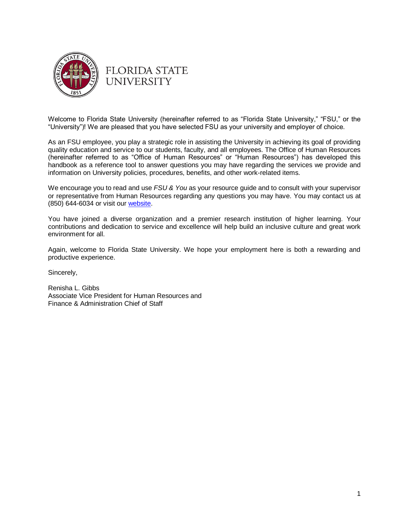

# **FLORIDA STATE UNIVERSITY**

Welcome to Florida State University (hereinafter referred to as "Florida State University," "FSU," or the "University")! We are pleased that you have selected FSU as your university and employer of choice.

As an FSU employee, you play a strategic role in assisting the University in achieving its goal of providing quality education and service to our students, faculty, and all employees. The Office of Human Resources (hereinafter referred to as "Office of Human Resources" or "Human Resources") has developed this handbook as a reference tool to answer questions you may have regarding the services we provide and information on University policies, procedures, benefits, and other work-related items.

We encourage you to read and use *FSU & You* as your resource guide and to consult with your supervisor or representative from Human Resources regarding any questions you may have. You may contact us at (850) 644-6034 or visit our [website.](http://www.hr.fsu.edu/)

You have joined a diverse organization and a premier research institution of higher learning. Your contributions and dedication to service and excellence will help build an inclusive culture and great work environment for all.

Again, welcome to Florida State University. We hope your employment here is both a rewarding and productive experience.

Sincerely,

Renisha L. Gibbs Associate Vice President for Human Resources and Finance & Administration Chief of Staff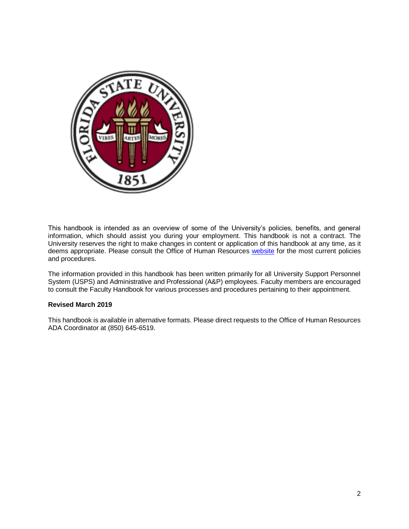

This handbook is intended as an overview of some of the University's policies, benefits, and general information, which should assist you during your employment. This handbook is not a contract. The University reserves the right to make changes in content or application of this handbook at any time, as it deems appropriate. Please consult the Office of Human Resources [website](http://www.hr.fsu.edu/) for the most current policies and procedures.

The information provided in this handbook has been written primarily for all University Support Personnel System (USPS) and Administrative and Professional (A&P) employees. Faculty members are encouraged to consult the Faculty Handbook for various processes and procedures pertaining to their appointment.

### **Revised March 2019**

This handbook is available in alternative formats. Please direct requests to the Office of Human Resources ADA Coordinator at (850) 645-6519.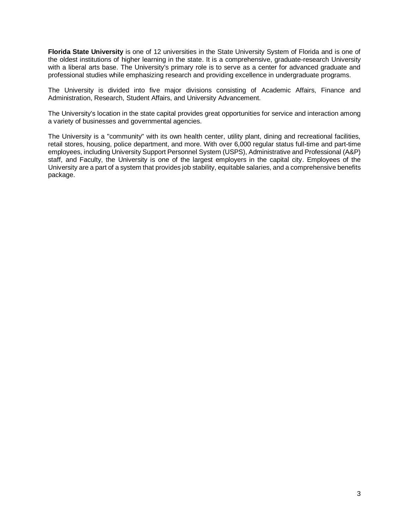**Florida State University** is one of 12 universities in the State University System of Florida and is one of the oldest institutions of higher learning in the state. It is a comprehensive, graduate-research University with a liberal arts base. The University's primary role is to serve as a center for advanced graduate and professional studies while emphasizing research and providing excellence in undergraduate programs.

The University is divided into five major divisions consisting of Academic Affairs, Finance and Administration, Research, Student Affairs, and University Advancement.

The University's location in the state capital provides great opportunities for service and interaction among a variety of businesses and governmental agencies.

The University is a "community" with its own health center, utility plant, dining and recreational facilities, retail stores, housing, police department, and more. With over 6,000 regular status full-time and part-time employees, including University Support Personnel System (USPS), Administrative and Professional (A&P) staff, and Faculty, the University is one of the largest employers in the capital city. Employees of the University are a part of a system that provides job stability, equitable salaries, and a comprehensive benefits package.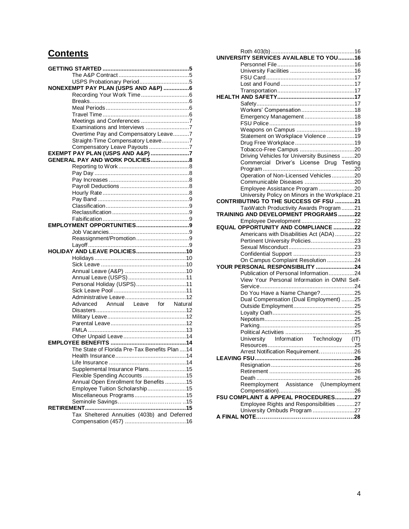# **Contents**

| USPS Probationary Period5                                        |  |
|------------------------------------------------------------------|--|
| NONEXEMPT PAY PLAN (USPS AND A&P) 6                              |  |
|                                                                  |  |
|                                                                  |  |
|                                                                  |  |
|                                                                  |  |
| Meetings and Conferences 7                                       |  |
| Examinations and Interviews 7                                    |  |
| Overtime Pay and Compensatory Leave7                             |  |
|                                                                  |  |
| Straight-Time Compensatory Leave7                                |  |
| Compensatory Leave Payouts 7<br>EXEMPT PAY PLAN (USPS AND A&P) 7 |  |
|                                                                  |  |
|                                                                  |  |
|                                                                  |  |
|                                                                  |  |
|                                                                  |  |
|                                                                  |  |
|                                                                  |  |
|                                                                  |  |
|                                                                  |  |
|                                                                  |  |
|                                                                  |  |
|                                                                  |  |
|                                                                  |  |
|                                                                  |  |
|                                                                  |  |
| HOLIDAY AND LEAVE POLICIES10                                     |  |
|                                                                  |  |
|                                                                  |  |
|                                                                  |  |
|                                                                  |  |
| Personal Holiday (USPS)11                                        |  |
|                                                                  |  |
|                                                                  |  |
| Annual Leave for Natural<br>Advanced                             |  |
|                                                                  |  |
|                                                                  |  |
|                                                                  |  |
|                                                                  |  |
|                                                                  |  |
|                                                                  |  |
| The State of Florida Pre-Tax Benefits Plan  14                   |  |
|                                                                  |  |
|                                                                  |  |
|                                                                  |  |
| Supplemental Insurance Plans15                                   |  |
| Flexible Spending Accounts15                                     |  |
| Annual Open Enrollment for Benefits 15                           |  |
| Employee Tuition Scholarship15                                   |  |
| Miscellaneous Programs15                                         |  |
|                                                                  |  |
|                                                                  |  |
| Tax Sheltered Annuities (403b) and Deferred                      |  |
|                                                                  |  |
|                                                                  |  |

| Emergency Management18                          |  |
|-------------------------------------------------|--|
|                                                 |  |
|                                                 |  |
| Statement on Workplace Violence 19              |  |
|                                                 |  |
|                                                 |  |
| Driving Vehicles for University Business 20     |  |
| Commercial Driver's License Drug Testing        |  |
|                                                 |  |
| Operation of Non-Licensed Vehicles20            |  |
|                                                 |  |
| Employee Assistance Program 20                  |  |
| University Policy on Minors in the Workplace.21 |  |
| <b>CONTRIBUTING TO THE SUCCESS OF FSU 21</b>    |  |
| TaxWatch Productivity Awards Program 21         |  |
| TRAINING AND DEVELOPMENT PROGRAMS22             |  |
|                                                 |  |
| EQUAL OPPORTUNITY AND COMPLIANCE 22             |  |
| Americans with Disabilities Act (ADA) 22        |  |
| Pertinent University Policies23                 |  |
|                                                 |  |
|                                                 |  |
| On Campus Complaint Resolution 24               |  |
| YOUR PERSONAL RESPONSIBILITY 24                 |  |
| Publication of Personal Information24           |  |
| View Your Personal Information in OMNI Self-    |  |
|                                                 |  |
| Do You Have a Name Change?25                    |  |
| Dual Compensation (Dual Employment) 25          |  |
|                                                 |  |
|                                                 |  |
|                                                 |  |
|                                                 |  |
|                                                 |  |
| University Information Technology (IT)          |  |
|                                                 |  |
| Arrest Notification Requirement26               |  |
|                                                 |  |
|                                                 |  |
|                                                 |  |
| Reemployment Assistance (Unemployment           |  |
|                                                 |  |
| FSU COMPLAINT & APPEAL PROCEDURES27             |  |
| Employee Rights and Responsibilities 27         |  |
| University Ombuds Program 27                    |  |
|                                                 |  |
|                                                 |  |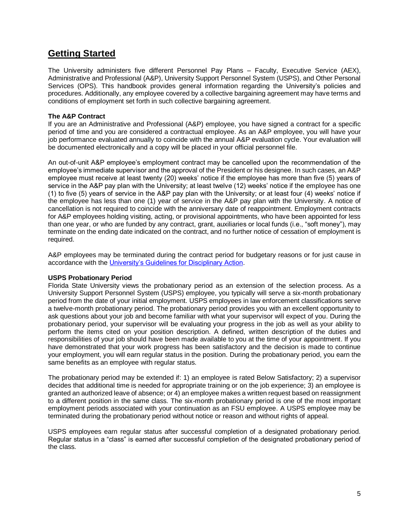## **Getting Started**

The University administers five different Personnel Pay Plans – Faculty, Executive Service (AEX), Administrative and Professional (A&P), University Support Personnel System (USPS), and Other Personal Services (OPS). This handbook provides general information regarding the University's policies and procedures. Additionally, any employee covered by a collective bargaining agreement may have terms and conditions of employment set forth in such collective bargaining agreement.

## **The A&P Contract**

If you are an Administrative and Professional (A&P) employee, you have signed a contract for a specific period of time and you are considered a contractual employee. As an A&P employee, you will have your job performance evaluated annually to coincide with the annual A&P evaluation cycle. Your evaluation will be documented electronically and a copy will be placed in your official personnel file.

An out-of-unit A&P employee's employment contract may be cancelled upon the recommendation of the employee's immediate supervisor and the approval of the President or his designee. In such cases, an A&P employee must receive at least twenty (20) weeks' notice if the employee has more than five (5) years of service in the A&P pay plan with the University; at least twelve (12) weeks' notice if the employee has one (1) to five (5) years of service in the A&P pay plan with the University; or at least four (4) weeks' notice if the employee has less than one (1) year of service in the A&P pay plan with the University. A notice of cancellation is not required to coincide with the anniversary date of reappointment. Employment contracts for A&P employees holding visiting, acting, or provisional appointments, who have been appointed for less than one year, or who are funded by any contract, grant, auxiliaries or local funds (i.e., "soft money"), may terminate on the ending date indicated on the contract, and no further notice of cessation of employment is required.

A&P employees may be terminated during the contract period for budgetary reasons or for just cause in accordance with th[e University's Guidelines for Disciplinary Action.](https://hr.fsu.edu/?page=elr/discipline/discipline_guidelines)

## **USPS Probationary Period**

Florida State University views the probationary period as an extension of the selection process. As a University Support Personnel System (USPS) employee, you typically will serve a six-month probationary period from the date of your initial employment. USPS employees in law enforcement classifications serve a twelve-month probationary period. The probationary period provides you with an excellent opportunity to ask questions about your job and become familiar with what your supervisor will expect of you. During the probationary period, your supervisor will be evaluating your progress in the job as well as your ability to perform the items cited on your position description. A defined, written description of the duties and responsibilities of your job should have been made available to you at the time of your appointment. If you have demonstrated that your work progress has been satisfactory and the decision is made to continue your employment, you will earn regular status in the position. During the probationary period, you earn the same benefits as an employee with regular status.

The probationary period may be extended if: 1) an employee is rated Below Satisfactory; 2) a supervisor decides that additional time is needed for appropriate training or on the job experience; 3) an employee is granted an authorized leave of absence; or 4) an employee makes a written request based on reassignment to a different position in the same class. The six-month probationary period is one of the most important employment periods associated with your continuation as an FSU employee. A USPS employee may be terminated during the probationary period without notice or reason and without rights of appeal.

USPS employees earn regular status after successful completion of a designated probationary period. Regular status in a "class" is earned after successful completion of the designated probationary period of the class.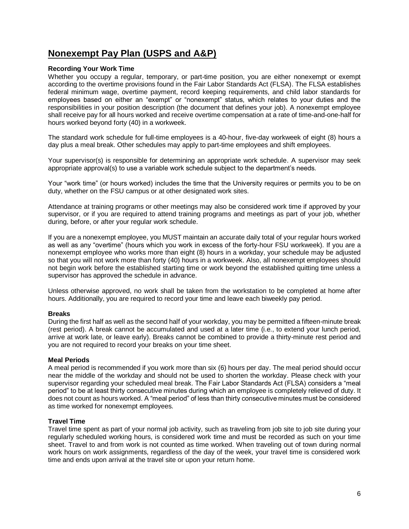## **Nonexempt Pay Plan (USPS and A&P)**

## **Recording Your Work Time**

Whether you occupy a regular, temporary, or part-time position, you are either nonexempt or exempt according to the overtime provisions found in the Fair Labor Standards Act (FLSA). The FLSA establishes federal minimum wage, overtime payment, record keeping requirements, and child labor standards for employees based on either an "exempt" or "nonexempt" status, which relates to your duties and the responsibilities in your position description (the document that defines your job). A nonexempt employee shall receive pay for all hours worked and receive overtime compensation at a rate of time-and-one-half for hours worked beyond forty (40) in a workweek.

The standard work schedule for full-time employees is a 40-hour, five-day workweek of eight (8) hours a day plus a meal break. Other schedules may apply to part-time employees and shift employees.

Your supervisor(s) is responsible for determining an appropriate work schedule. A supervisor may seek appropriate approval(s) to use a variable work schedule subject to the department's needs.

Your "work time" (or hours worked) includes the time that the University requires or permits you to be on duty, whether on the FSU campus or at other designated work sites.

Attendance at training programs or other meetings may also be considered work time if approved by your supervisor, or if you are required to attend training programs and meetings as part of your job, whether during, before, or after your regular work schedule.

If you are a nonexempt employee, you MUST maintain an accurate daily total of your regular hours worked as well as any "overtime" (hours which you work in excess of the forty-hour FSU workweek). If you are a nonexempt employee who works more than eight (8) hours in a workday, your schedule may be adjusted so that you will not work more than forty (40) hours in a workweek. Also, all nonexempt employees should not begin work before the established starting time or work beyond the established quitting time unless a supervisor has approved the schedule in advance.

Unless otherwise approved, no work shall be taken from the workstation to be completed at home after hours. Additionally, you are required to record your time and leave each biweekly pay period.

### **Breaks**

During the first half as well as the second half of your workday, you may be permitted a fifteen-minute break (rest period). A break cannot be accumulated and used at a later time (i.e., to extend your lunch period, arrive at work late, or leave early). Breaks cannot be combined to provide a thirty-minute rest period and you are not required to record your breaks on your time sheet.

### **Meal Periods**

A meal period is recommended if you work more than six (6) hours per day. The meal period should occur near the middle of the workday and should not be used to shorten the workday. Please check with your supervisor regarding your scheduled meal break. The Fair Labor Standards Act (FLSA) considers a "meal period" to be at least thirty consecutive minutes during which an employee is completely relieved of duty. It does not count as hours worked. A "meal period" of less than thirty consecutive minutes must be considered as time worked for nonexempt employees.

### **Travel Time**

Travel time spent as part of your normal job activity, such as traveling from job site to job site during your regularly scheduled working hours, is considered work time and must be recorded as such on your time sheet. Travel to and from work is not counted as time worked. When traveling out of town during normal work hours on work assignments, regardless of the day of the week, your travel time is considered work time and ends upon arrival at the travel site or upon your return home.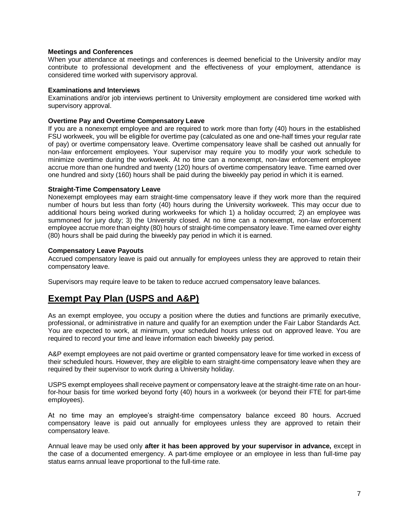### **Meetings and Conferences**

When your attendance at meetings and conferences is deemed beneficial to the University and/or may contribute to professional development and the effectiveness of your employment, attendance is considered time worked with supervisory approval.

### **Examinations and Interviews**

Examinations and/or job interviews pertinent to University employment are considered time worked with supervisory approval.

### **Overtime Pay and Overtime Compensatory Leave**

If you are a nonexempt employee and are required to work more than forty (40) hours in the established FSU workweek, you will be eligible for overtime pay (calculated as one and one-half times your regular rate of pay) or overtime compensatory leave. Overtime compensatory leave shall be cashed out annually for non-law enforcement employees. Your supervisor may require you to modify your work schedule to minimize overtime during the workweek. At no time can a nonexempt, non-law enforcement employee accrue more than one hundred and twenty (120) hours of overtime compensatory leave. Time earned over one hundred and sixty (160) hours shall be paid during the biweekly pay period in which it is earned.

#### **Straight-Time Compensatory Leave**

Nonexempt employees may earn straight-time compensatory leave if they work more than the required number of hours but less than forty (40) hours during the University workweek. This may occur due to additional hours being worked during workweeks for which 1) a holiday occurred; 2) an employee was summoned for jury duty; 3) the University closed. At no time can a nonexempt, non-law enforcement employee accrue more than eighty (80) hours of straight-time compensatory leave. Time earned over eighty (80) hours shall be paid during the biweekly pay period in which it is earned.

#### **Compensatory Leave Payouts**

Accrued compensatory leave is paid out annually for employees unless they are approved to retain their compensatory leave.

Supervisors may require leave to be taken to reduce accrued compensatory leave balances.

## **Exempt Pay Plan (USPS and A&P)**

As an exempt employee, you occupy a position where the duties and functions are primarily executive, professional, or administrative in nature and qualify for an exemption under the Fair Labor Standards Act. You are expected to work, at minimum, your scheduled hours unless out on approved leave. You are required to record your time and leave information each biweekly pay period.

A&P exempt employees are not paid overtime or granted compensatory leave for time worked in excess of their scheduled hours. However, they are eligible to earn straight-time compensatory leave when they are required by their supervisor to work during a University holiday.

USPS exempt employees shall receive payment or compensatory leave at the straight-time rate on an hourfor-hour basis for time worked beyond forty (40) hours in a workweek (or beyond their FTE for part-time employees).

At no time may an employee's straight-time compensatory balance exceed 80 hours. Accrued compensatory leave is paid out annually for employees unless they are approved to retain their compensatory leave.

Annual leave may be used only **after it has been approved by your supervisor in advance,** except in the case of a documented emergency. A part-time employee or an employee in less than full-time pay status earns annual leave proportional to the full-time rate.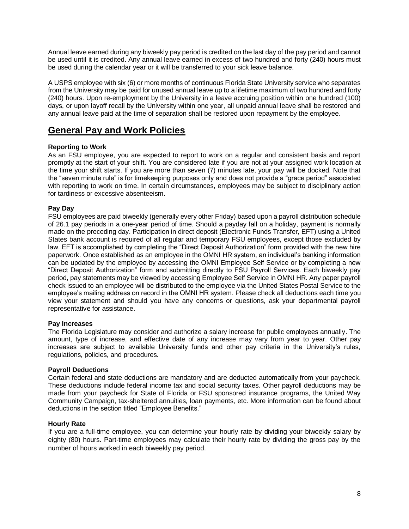Annual leave earned during any biweekly pay period is credited on the last day of the pay period and cannot be used until it is credited. Any annual leave earned in excess of two hundred and forty (240) hours must be used during the calendar year or it will be transferred to your sick leave balance.

A USPS employee with six (6) or more months of continuous Florida State University service who separates from the University may be paid for unused annual leave up to a lifetime maximum of two hundred and forty (240) hours. Upon re-employment by the University in a leave accruing position within one hundred (100) days, or upon layoff recall by the University within one year, all unpaid annual leave shall be restored and any annual leave paid at the time of separation shall be restored upon repayment by the employee.

## **General Pay and Work Policies**

## **Reporting to Work**

As an FSU employee, you are expected to report to work on a regular and consistent basis and report promptly at the start of your shift. You are considered late if you are not at your assigned work location at the time your shift starts. If you are more than seven (7) minutes late, your pay will be docked. Note that the "seven minute rule" is for timekeeping purposes only and does not provide a "grace period" associated with reporting to work on time. In certain circumstances, employees may be subject to disciplinary action for tardiness or excessive absenteeism.

## **Pay Day**

FSU employees are paid biweekly (generally every other Friday) based upon a payroll distribution schedule of 26.1 pay periods in a one-year period of time. Should a payday fall on a holiday, payment is normally made on the preceding day. Participation in direct deposit (Electronic Funds Transfer, EFT) using a United States bank account is required of all regular and temporary FSU employees, except those excluded by law. EFT is accomplished by completing the "Direct Deposit Authorization" form provided with the new hire paperwork. Once established as an employee in the OMNI HR system, an individual's banking information can be updated by the employee by accessing the OMNI Employee Self Service or by completing a new "Direct Deposit Authorization" form and submitting directly to FSU Payroll Services. Each biweekly pay period, pay statements may be viewed by accessing Employee Self Service in OMNI HR. Any paper payroll check issued to an employee will be distributed to the employee via the United States Postal Service to the employee's mailing address on record in the OMNI HR system. Please check all deductions each time you view your statement and should you have any concerns or questions, ask your departmental payroll representative for assistance.

## **Pay Increases**

The Florida Legislature may consider and authorize a salary increase for public employees annually. The amount, type of increase, and effective date of any increase may vary from year to year. Other pay increases are subject to available University funds and other pay criteria in the University's rules, regulations, policies, and procedures.

## **Payroll Deductions**

Certain federal and state deductions are mandatory and are deducted automatically from your paycheck. These deductions include federal income tax and social security taxes. Other payroll deductions may be made from your paycheck for State of Florida or FSU sponsored insurance programs, the United Way Community Campaign, tax-sheltered annuities, loan payments, etc. More information can be found about deductions in the section titled "Employee Benefits."

### **Hourly Rate**

If you are a full-time employee, you can determine your hourly rate by dividing your biweekly salary by eighty (80) hours. Part-time employees may calculate their hourly rate by dividing the gross pay by the number of hours worked in each biweekly pay period.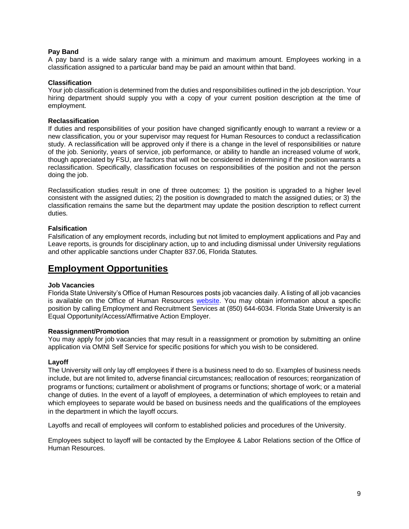## **Pay Band**

A pay band is a wide salary range with a minimum and maximum amount. Employees working in a classification assigned to a particular band may be paid an amount within that band.

### **Classification**

Your job classification is determined from the duties and responsibilities outlined in the job description. Your hiring department should supply you with a copy of your current position description at the time of employment.

## **Reclassification**

If duties and responsibilities of your position have changed significantly enough to warrant a review or a new classification, you or your supervisor may request for Human Resources to conduct a reclassification study. A reclassification will be approved only if there is a change in the level of responsibilities or nature of the job. Seniority, years of service, job performance, or ability to handle an increased volume of work, though appreciated by FSU, are factors that will not be considered in determining if the position warrants a reclassification. Specifically, classification focuses on responsibilities of the position and not the person doing the job.

Reclassification studies result in one of three outcomes: 1) the position is upgraded to a higher level consistent with the assigned duties; 2) the position is downgraded to match the assigned duties; or 3) the classification remains the same but the department may update the position description to reflect current duties.

## **Falsification**

Falsification of any employment records, including but not limited to employment applications and Pay and Leave reports, is grounds for disciplinary action, up to and including dismissal under University regulations and other applicable sanctions under Chapter 837.06, Florida Statutes.

## **Employment Opportunities**

### **Job Vacancies**

Florida State University's Office of Human Resources posts job vacancies daily. A listing of all job vacancies is available on the Office of Human Resources [website.](http://www.jobs.fsu.edu/) You may obtain information about a specific position by calling Employment and Recruitment Services at (850) 644-6034. Florida State University is an Equal Opportunity/Access/Affirmative Action Employer.

### **Reassignment/Promotion**

You may apply for job vacancies that may result in a reassignment or promotion by submitting an online application via OMNI Self Service for specific positions for which you wish to be considered.

### **Layoff**

The University will only lay off employees if there is a business need to do so. Examples of business needs include, but are not limited to, adverse financial circumstances; reallocation of resources; reorganization of programs or functions; curtailment or abolishment of programs or functions; shortage of work; or a material change of duties. In the event of a layoff of employees, a determination of which employees to retain and which employees to separate would be based on business needs and the qualifications of the employees in the department in which the layoff occurs.

Layoffs and recall of employees will conform to established policies and procedures of the University.

Employees subject to layoff will be contacted by the Employee & Labor Relations section of the Office of Human Resources.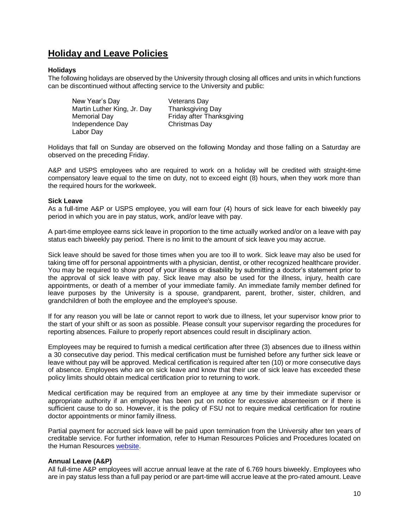## **Holiday and Leave Policies**

### **Holidays**

The following holidays are observed by the University through closing all offices and units in which functions can be discontinued without affecting service to the University and public:

New Year's Day **Veterans Day** Martin Luther King, Jr. Day Thanksgiving Day Memorial Day **Friday** after Thanksgiving Independence Day Christmas Day Labor Day

Holidays that fall on Sunday are observed on the following Monday and those falling on a Saturday are observed on the preceding Friday.

A&P and USPS employees who are required to work on a holiday will be credited with straight-time compensatory leave equal to the time on duty, not to exceed eight (8) hours, when they work more than the required hours for the workweek.

### **Sick Leave**

As a full-time A&P or USPS employee, you will earn four (4) hours of sick leave for each biweekly pay period in which you are in pay status, work, and/or leave with pay.

A part-time employee earns sick leave in proportion to the time actually worked and/or on a leave with pay status each biweekly pay period. There is no limit to the amount of sick leave you may accrue.

Sick leave should be saved for those times when you are too ill to work. Sick leave may also be used for taking time off for personal appointments with a physician, dentist, or other recognized healthcare provider. You may be required to show proof of your illness or disability by submitting a doctor's statement prior to the approval of sick leave with pay. Sick leave may also be used for the illness, injury, health care appointments, or death of a member of your immediate family. An immediate family member defined for leave purposes by the University is a spouse, grandparent, parent, brother, sister, children, and grandchildren of both the employee and the employee's spouse.

If for any reason you will be late or cannot report to work due to illness, let your supervisor know prior to the start of your shift or as soon as possible. Please consult your supervisor regarding the procedures for reporting absences. Failure to properly report absences could result in disciplinary action.

Employees may be required to furnish a medical certification after three (3) absences due to illness within a 30 consecutive day period. This medical certification must be furnished before any further sick leave or leave without pay will be approved. Medical certification is required after ten (10) or more consecutive days of absence. Employees who are on sick leave and know that their use of sick leave has exceeded these policy limits should obtain medical certification prior to returning to work.

Medical certification may be required from an employee at any time by their immediate supervisor or appropriate authority if an employee has been put on notice for excessive absenteeism or if there is sufficient cause to do so. However, it is the policy of FSU not to require medical certification for routine doctor appointments or minor family illness.

Partial payment for accrued sick leave will be paid upon termination from the University after ten years of creditable service. For further information, refer to Human Resources Policies and Procedures located on the Human Resources [website.](https://policies.vpfa.fsu.edu/policies-and-procedures/faculty-staff)

### **Annual Leave (A&P)**

All full-time A&P employees will accrue annual leave at the rate of 6.769 hours biweekly. Employees who are in pay status less than a full pay period or are part-time will accrue leave at the pro-rated amount. Leave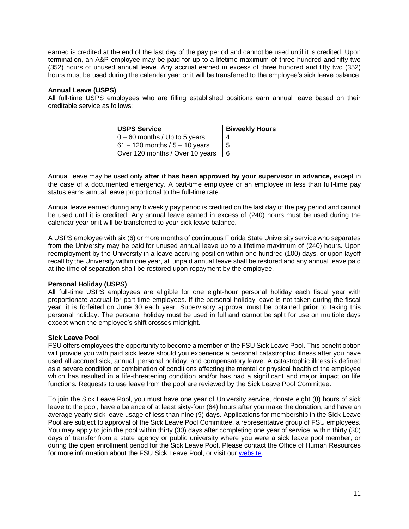earned is credited at the end of the last day of the pay period and cannot be used until it is credited. Upon termination, an A&P employee may be paid for up to a lifetime maximum of three hundred and fifty two (352) hours of unused annual leave. Any accrual earned in excess of three hundred and fifty two (352) hours must be used during the calendar year or it will be transferred to the employee's sick leave balance.

### **Annual Leave (USPS)**

All full-time USPS employees who are filling established positions earn annual leave based on their creditable service as follows:

| <b>USPS Service</b>              | <b>Biweekly Hours</b> |
|----------------------------------|-----------------------|
| $0 - 60$ months / Up to 5 years  |                       |
| 61 – 120 months / $5 - 10$ years | 5                     |
| Over 120 months / Over 10 years  | 6                     |

Annual leave may be used only **after it has been approved by your supervisor in advance,** except in the case of a documented emergency. A part-time employee or an employee in less than full-time pay status earns annual leave proportional to the full-time rate.

Annual leave earned during any biweekly pay period is credited on the last day of the pay period and cannot be used until it is credited. Any annual leave earned in excess of (240) hours must be used during the calendar year or it will be transferred to your sick leave balance.

A USPS employee with six (6) or more months of continuous Florida State University service who separates from the University may be paid for unused annual leave up to a lifetime maximum of (240) hours. Upon reemployment by the University in a leave accruing position within one hundred (100) days, or upon layoff recall by the University within one year, all unpaid annual leave shall be restored and any annual leave paid at the time of separation shall be restored upon repayment by the employee.

## **Personal Holiday (USPS)**

All full-time USPS employees are eligible for one eight-hour personal holiday each fiscal year with proportionate accrual for part-time employees. If the personal holiday leave is not taken during the fiscal year, it is forfeited on June 30 each year. Supervisory approval must be obtained **prior** to taking this personal holiday. The personal holiday must be used in full and cannot be split for use on multiple days except when the employee's shift crosses midnight.

### **Sick Leave Pool**

FSU offers employees the opportunity to become a member of the FSU Sick Leave Pool. This benefit option will provide you with paid sick leave should you experience a personal catastrophic illness after you have used all accrued sick, annual, personal holiday, and compensatory leave. A catastrophic illness is defined as a severe condition or combination of conditions affecting the mental or physical health of the employee which has resulted in a life-threatening condition and/or has had a significant and major impact on life functions. Requests to use leave from the pool are reviewed by the Sick Leave Pool Committee.

To join the Sick Leave Pool, you must have one year of University service, donate eight (8) hours of sick leave to the pool, have a balance of at least sixty-four (64) hours after you make the donation, and have an average yearly sick leave usage of less than nine (9) days. Applications for membership in the Sick Leave Pool are subject to approval of the Sick Leave Pool Committee, a representative group of FSU employees. You may apply to join the pool within thirty (30) days after completing one year of service, within thirty (30) days of transfer from a state agency or public university where you were a sick leave pool member, or during the open enrollment period for the Sick Leave Pool. Please contact the Office of Human Resources for more information about the FSU Sick Leave Pool, or visit our [website.](https://www.hr.fsu.edu/?page=attendance_leave/attendance_leave_sick_leave_pool)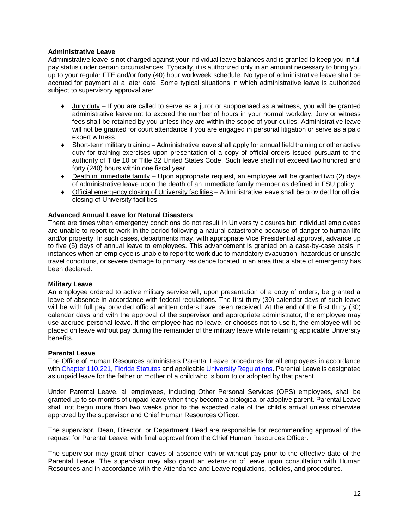## **Administrative Leave**

Administrative leave is not charged against your individual leave balances and is granted to keep you in full pay status under certain circumstances. Typically, it is authorized only in an amount necessary to bring you up to your regular FTE and/or forty (40) hour workweek schedule. No type of administrative leave shall be accrued for payment at a later date. Some typical situations in which administrative leave is authorized subject to supervisory approval are:

- Jury duty If you are called to serve as a juror or subpoenaed as a witness, you will be granted administrative leave not to exceed the number of hours in your normal workday. Jury or witness fees shall be retained by you unless they are within the scope of your duties. Administrative leave will not be granted for court attendance if you are engaged in personal litigation or serve as a paid expert witness.
- Short-term military training Administrative leave shall apply for annual field training or other active duty for training exercises upon presentation of a copy of official orders issued pursuant to the authority of Title 10 or Title 32 United States Code. Such leave shall not exceed two hundred and forty (240) hours within one fiscal year.
- Death in immediate family Upon appropriate request, an employee will be granted two (2) days of administrative leave upon the death of an immediate family member as defined in FSU policy.
- Official emergency closing of University facilities Administrative leave shall be provided for official closing of University facilities.

## **Advanced Annual Leave for Natural Disasters**

There are times when emergency conditions do not result in University closures but individual employees are unable to report to work in the period following a natural catastrophe because of danger to human life and/or property. In such cases, departments may, with appropriate Vice Presidential approval, advance up to five (5) days of annual leave to employees. This advancement is granted on a case-by-case basis in instances when an employee is unable to report to work due to mandatory evacuation, hazardous or unsafe travel conditions, or severe damage to primary residence located in an area that a state of emergency has been declared.

### **Military Leave**

An employee ordered to active military service will, upon presentation of a copy of orders, be granted a leave of absence in accordance with federal regulations. The first thirty (30) calendar days of such leave will be with full pay provided official written orders have been received. At the end of the first thirty (30) calendar days and with the approval of the supervisor and appropriate administrator, the employee may use accrued personal leave. If the employee has no leave, or chooses not to use it, the employee will be placed on leave without pay during the remainder of the military leave while retaining applicable University benefits.

### **Parental Leave**

The Office of Human Resources administers Parental Leave procedures for all employees in accordance with [Chapter 110.221, Florida Statutes](http://www.leg.state.fl.us/statutes/index.cfm?App_mode=Display_Statute&Search_String=&URL=0100-0199/0110/Sections/0110.221.html) and applicable [University Regulations.](http://regulations.fsu.edu/regulations/adopted-regulations) Parental Leave is designated as unpaid leave for the father or mother of a child who is born to or adopted by that parent.

Under Parental Leave, all employees, including Other Personal Services (OPS) employees, shall be granted up to six months of unpaid leave when they become a biological or adoptive parent. Parental Leave shall not begin more than two weeks prior to the expected date of the child's arrival unless otherwise approved by the supervisor and Chief Human Resources Officer.

The supervisor, Dean, Director, or Department Head are responsible for recommending approval of the request for Parental Leave, with final approval from the Chief Human Resources Officer.

The supervisor may grant other leaves of absence with or without pay prior to the effective date of the Parental Leave. The supervisor may also grant an extension of leave upon consultation with Human Resources and in accordance with the Attendance and Leave regulations, policies, and procedures.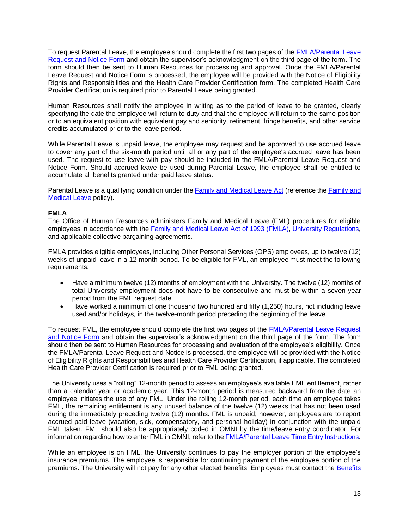To request Parental Leave, the employee should complete the first two pages of the [FMLA/Parental Leave](http://www.hr.fsu.edu/PDF/Forms/timeandleave/FMLA-PL_Request_And_Notice.pdf)  [Request and Notice Form](http://www.hr.fsu.edu/PDF/Forms/timeandleave/FMLA-PL_Request_And_Notice.pdf) and obtain the supervisor's acknowledgment on the third page of the form. The form should then be sent to Human Resources for processing and approval. Once the FMLA/Parental Leave Request and Notice Form is processed, the employee will be provided with the Notice of Eligibility Rights and Responsibilities and the Health Care Provider Certification form. The completed Health Care Provider Certification is required prior to Parental Leave being granted.

Human Resources shall notify the employee in writing as to the period of leave to be granted, clearly specifying the date the employee will return to duty and that the employee will return to the same position or to an equivalent position with equivalent pay and seniority, retirement, fringe benefits, and other service credits accumulated prior to the leave period.

While Parental Leave is unpaid leave, the employee may request and be approved to use accrued leave to cover any part of the six-month period until all or any part of the employee's accrued leave has been used. The request to use leave with pay should be included in the FMLA/Parental Leave Request and Notice Form. Should accrued leave be used during Parental Leave, the employee shall be entitled to accumulate all benefits granted under paid leave status.

Parental Leave is a qualifying condition under th[e Family and Medical Leave Act](http://www.dol.gov/dol/topic/benefits-leave/fmla.htm) (reference th[e Family and](http://policies.vpfa.fsu.edu/policies-and-procedures/faculty-staff/attendance-and-leave#E1.7)  [Medical Leave](http://policies.vpfa.fsu.edu/policies-and-procedures/faculty-staff/attendance-and-leave#E1.7) policy).

## **FMLA**

The Office of Human Resources administers Family and Medical Leave (FML) procedures for eligible employees in accordance with the [Family and Medical Leave Act of 1993](http://www.dol.gov/dol/topic/benefits-leave/fmla.htm) (FMLA), [University Regulations,](http://regulations.fsu.edu/regulations/adopted-regulations) and applicable collective bargaining agreements.

FMLA provides eligible employees, including Other Personal Services (OPS) employees, up to twelve (12) weeks of unpaid leave in a 12-month period. To be eligible for FML, an employee must meet the following requirements:

- Have a minimum twelve (12) months of employment with the University. The twelve (12) months of total University employment does not have to be consecutive and must be within a seven-year period from the FML request date.
- Have worked a minimum of one thousand two hundred and fifty (1,250) hours, not including leave used and/or holidays, in the twelve-month period preceding the beginning of the leave.

To request FML, the employee should complete the first two pages of the [FMLA/Parental Leave Request](http://www.hr.fsu.edu/PDF/Forms/timeandleave/FMLA-PL_Request_And_Notice.pdf)  [and Notice Form](http://www.hr.fsu.edu/PDF/Forms/timeandleave/FMLA-PL_Request_And_Notice.pdf) and obtain the supervisor's acknowledgment on the third page of the form. The form should then be sent to Human Resources for processing and evaluation of the employee's eligibility. Once the FMLA/Parental Leave Request and Notice is processed, the employee will be provided with the Notice of Eligibility Rights and Responsibilities and Health Care Provider Certification, if applicable. The completed Health Care Provider Certification is required prior to FML being granted.

The University uses a "rolling" 12-month period to assess an employee's available FML entitlement, rather than a calendar year or academic year. This 12-month period is measured backward from the date an employee initiates the use of any FML. Under the rolling 12-month period, each time an employee takes FML, the remaining entitlement is any unused balance of the twelve (12) weeks that has not been used during the immediately preceding twelve (12) months. FML is unpaid; however, employees are to report accrued paid leave (vacation, sick, compensatory, and personal holiday) in conjunction with the unpaid FML taken. FML should also be appropriately coded in OMNI by the time/leave entry coordinator. For information regarding how to enter FML in OMNI, refer to th[e FMLA/Parental Leave Time Entry Instructions.](http://www.hr.fsu.edu/PDF/Publications/timeandleave/FMLA-Time_Entry_Instructions.pdf)

While an employee is on FML, the University continues to pay the employer portion of the employee's insurance premiums. The employee is responsible for continuing payment of the employee portion of the premiums. The University will not pay for any other elected benefits. Employees must contact the [Benefits](http://hr.fsu.edu/index.cfm?page=FacultyStaff_Insurance_InsuranceHomepage&NAV2=Insurance)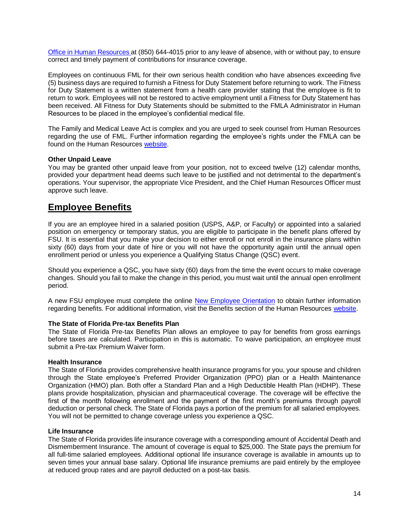[Office in Human Resources a](http://hr.fsu.edu/index.cfm?page=FacultyStaff_Insurance_InsuranceHomepage&NAV2=Insurance)t (850) 644-4015 prior to any leave of absence, with or without pay, to ensure correct and timely payment of contributions for insurance coverage.

Employees on continuous FML for their own serious health condition who have absences exceeding five (5) business days are required to furnish a Fitness for Duty Statement before returning to work. The Fitness for Duty Statement is a written statement from a health care provider stating that the employee is fit to return to work. Employees will not be restored to active employment until a Fitness for Duty Statement has been received. All Fitness for Duty Statements should be submitted to the FMLA Administrator in Human Resources to be placed in the employee's confidential medical file.

The Family and Medical Leave Act is complex and you are urged to seek counsel from Human Resources regarding the use of FML. Further information regarding the employee's rights under the FMLA can be found on the Human Resources [website.](http://hr.fsu.edu/?page=eoc/eoc_fmla)

### **Other Unpaid Leave**

You may be granted other unpaid leave from your position, not to exceed twelve (12) calendar months, provided your department head deems such leave to be justified and not detrimental to the department's operations. Your supervisor, the appropriate Vice President, and the Chief Human Resources Officer must approve such leave.

## **Employee Benefits**

If you are an employee hired in a salaried position (USPS, A&P, or Faculty) or appointed into a salaried position on emergency or temporary status, you are eligible to participate in the benefit plans offered by FSU. It is essential that you make your decision to either enroll or not enroll in the insurance plans within sixty (60) days from your date of hire or you will not have the opportunity again until the annual open enrollment period or unless you experience a Qualifying Status Change (QSC) event.

Should you experience a QSC, you have sixty (60) days from the time the event occurs to make coverage changes. Should you fail to make the change in this period, you must wait until the annual open enrollment period.

A new FSU employee must complete the online [New Employee Orientation](https://hr.fsu.edu/?page=neonline/neonline_home) to obtain further information regarding benefits. For additional information, visit the Benefits section of the Human Resources [website.](http://www.hr.fsu.edu/)

### **The State of Florida Pre-tax Benefits Plan**

The State of Florida Pre-tax Benefits Plan allows an employee to pay for benefits from gross earnings before taxes are calculated. Participation in this is automatic. To waive participation, an employee must submit a Pre-tax Premium Waiver form.

### **Health Insurance**

The State of Florida provides comprehensive health insurance programs for you, your spouse and children through the State employee's Preferred Provider Organization (PPO) plan or a Health Maintenance Organization (HMO) plan. Both offer a Standard Plan and a High Deductible Health Plan (HDHP). These plans provide hospitalization, physician and pharmaceutical coverage. The coverage will be effective the first of the month following enrollment and the payment of the first month's premiums through payroll deduction or personal check. The State of Florida pays a portion of the premium for all salaried employees. You will not be permitted to change coverage unless you experience a QSC.

### **Life Insurance**

The State of Florida provides life insurance coverage with a corresponding amount of Accidental Death and Dismemberment Insurance. The amount of coverage is equal to \$25,000. The State pays the premium for all full-time salaried employees. Additional optional life insurance coverage is available in amounts up to seven times your annual base salary. Optional life insurance premiums are paid entirely by the employee at reduced group rates and are payroll deducted on a post-tax basis.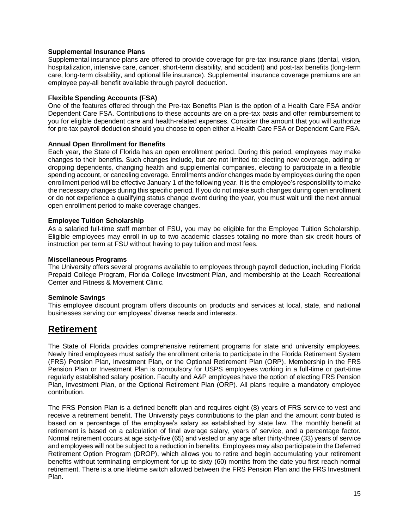## **Supplemental Insurance Plans**

Supplemental insurance plans are offered to provide coverage for pre-tax insurance plans (dental, vision, hospitalization, intensive care, cancer, short-term disability, and accident) and post-tax benefits (long-term care, long-term disability, and optional life insurance). Supplemental insurance coverage premiums are an employee pay-all benefit available through payroll deduction.

## **Flexible Spending Accounts (FSA)**

One of the features offered through the Pre-tax Benefits Plan is the option of a Health Care FSA and/or Dependent Care FSA. Contributions to these accounts are on a pre-tax basis and offer reimbursement to you for eligible dependent care and health-related expenses. Consider the amount that you will authorize for pre-tax payroll deduction should you choose to open either a Health Care FSA or Dependent Care FSA.

## **Annual Open Enrollment for Benefits**

Each year, the State of Florida has an open enrollment period. During this period, employees may make changes to their benefits. Such changes include, but are not limited to: electing new coverage, adding or dropping dependents, changing health and supplemental companies, electing to participate in a flexible spending account, or canceling coverage. Enrollments and/or changes made by employees during the open enrollment period will be effective January 1 of the following year. It is the employee's responsibility to make the necessary changes during this specific period. If you do not make such changes during open enrollment or do not experience a qualifying status change event during the year, you must wait until the next annual open enrollment period to make coverage changes.

### **Employee Tuition Scholarship**

As a salaried full-time staff member of FSU, you may be eligible for the Employee Tuition Scholarship. Eligible employees may enroll in up to two academic classes totaling no more than six credit hours of instruction per term at FSU without having to pay tuition and most fees.

## **Miscellaneous Programs**

The University offers several programs available to employees through payroll deduction, including Florida Prepaid College Program, Florida College Investment Plan, and membership at the Leach Recreational Center and Fitness & Movement Clinic.

## **Seminole Savings**

This employee discount program offers discounts on products and services at local, state, and national businesses serving our employees' diverse needs and interests.

## **Retirement**

The State of Florida provides comprehensive retirement programs for state and university employees. Newly hired employees must satisfy the enrollment criteria to participate in the Florida Retirement System (FRS) Pension Plan, Investment Plan, or the Optional Retirement Plan (ORP). Membership in the FRS Pension Plan or Investment Plan is compulsory for USPS employees working in a full-time or part-time regularly established salary position. Faculty and A&P employees have the option of electing FRS Pension Plan, Investment Plan, or the Optional Retirement Plan (ORP). All plans require a mandatory employee contribution.

The FRS Pension Plan is a defined benefit plan and requires eight (8) years of FRS service to vest and receive a retirement benefit. The University pays contributions to the plan and the amount contributed is based on a percentage of the employee's salary as established by state law. The monthly benefit at retirement is based on a calculation of final average salary, years of service, and a percentage factor. Normal retirement occurs at age sixty-five (65) and vested or any age after thirty-three (33) years of service and employees will not be subject to a reduction in benefits. Employees may also participate in the Deferred Retirement Option Program (DROP), which allows you to retire and begin accumulating your retirement benefits without terminating employment for up to sixty (60) months from the date you first reach normal retirement. There is a one lifetime switch allowed between the FRS Pension Plan and the FRS Investment Plan.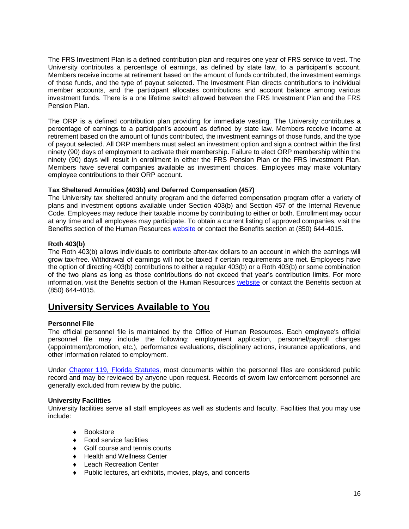The FRS Investment Plan is a defined contribution plan and requires one year of FRS service to vest. The University contributes a percentage of earnings, as defined by state law, to a participant's account. Members receive income at retirement based on the amount of funds contributed, the investment earnings of those funds, and the type of payout selected. The Investment Plan directs contributions to individual member accounts, and the participant allocates contributions and account balance among various investment funds. There is a one lifetime switch allowed between the FRS Investment Plan and the FRS Pension Plan.

The ORP is a defined contribution plan providing for immediate vesting. The University contributes a percentage of earnings to a participant's account as defined by state law. Members receive income at retirement based on the amount of funds contributed, the investment earnings of those funds, and the type of payout selected. All ORP members must select an investment option and sign a contract within the first ninety (90) days of employment to activate their membership. Failure to elect ORP membership within the ninety (90) days will result in enrollment in either the FRS Pension Plan or the FRS Investment Plan. Members have several companies available as investment choices. Employees may make voluntary employee contributions to their ORP account.

## **Tax Sheltered Annuities (403b) and Deferred Compensation (457)**

The University tax sheltered annuity program and the deferred compensation program offer a variety of plans and investment options available under Section 403(b) and Section 457 of the Internal Revenue Code. Employees may reduce their taxable income by contributing to either or both. Enrollment may occur at any time and all employees may participate. To obtain a current listing of approved companies, visit the Benefits section of the Human Resources [website](https://hr.fsu.edu/?page=benefits/retirement/retirement_home) or contact the Benefits section at (850) 644-4015.

## **Roth 403(b)**

The Roth 403(b) allows individuals to contribute after-tax dollars to an account in which the earnings will grow tax-free. Withdrawal of earnings will not be taxed if certain requirements are met. Employees have the option of directing 403(b) contributions to either a regular 403(b) or a Roth 403(b) or some combination of the two plans as long as those contributions do not exceed that year's contribution limits. For more information, visit the Benefits section of the Human Resources [website](https://hr.fsu.edu/?page=benefits/retirement/retirement_home) or contact the Benefits section at (850) 644-4015.

## **University Services Available to You**

## **Personnel File**

The official personnel file is maintained by the Office of Human Resources. Each employee's official personnel file may include the following: employment application, personnel/payroll changes (appointment/promotion, etc.), performance evaluations, disciplinary actions, insurance applications, and other information related to employment.

Under [Chapter 119, Florida Statutes,](http://www.leg.state.fl.us/statutes/index.cfm?App_mode=Display_Statute&URL=0100-0199/0119/0119.html) most documents within the personnel files are considered public record and may be reviewed by anyone upon request. Records of sworn law enforcement personnel are generally excluded from review by the public.

### **University Facilities**

University facilities serve all staff employees as well as students and faculty. Facilities that you may use include:

- ◆ Bookstore
- ◆ Food service facilities
- ◆ Golf course and tennis courts
- ◆ Health and Wellness Center
- ◆ Leach Recreation Center
- Public lectures, art exhibits, movies, plays, and concerts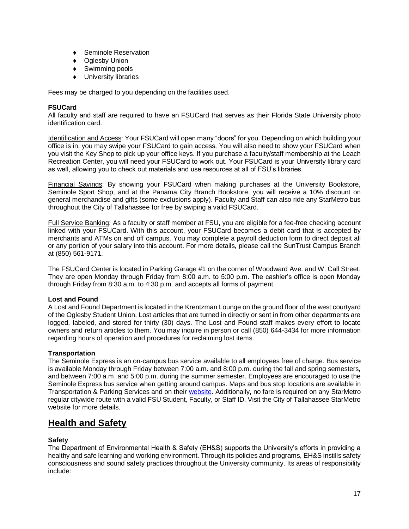- ◆ Seminole Reservation
- ◆ Oglesby Union
- ◆ Swimming pools
- University libraries

Fees may be charged to you depending on the facilities used.

## **FSUCard**

All faculty and staff are required to have an FSUCard that serves as their Florida State University photo identification card.

Identification and Access: Your FSUCard will open many "doors" for you. Depending on which building your office is in, you may swipe your FSUCard to gain access. You will also need to show your FSUCard when you visit the Key Shop to pick up your office keys. If you purchase a faculty/staff membership at the Leach Recreation Center, you will need your FSUCard to work out. Your FSUCard is your University library card as well, allowing you to check out materials and use resources at all of FSU's libraries.

Financial Savings: By showing your FSUCard when making purchases at the University Bookstore, Seminole Sport Shop, and at the Panama City Branch Bookstore, you will receive a 10% discount on general merchandise and gifts (some exclusions apply). Faculty and Staff can also ride any StarMetro bus throughout the City of Tallahassee for free by swiping a valid FSUCard.

Full Service Banking: As a faculty or staff member at FSU, you are eligible for a fee-free checking account linked with your FSUCard. With this account, your FSUCard becomes a debit card that is accepted by merchants and ATMs on and off campus. You may complete a payroll deduction form to direct deposit all or any portion of your salary into this account. For more details, please call the SunTrust Campus Branch at (850) 561-9171.

The FSUCard Center is located in Parking Garage #1 on the corner of Woodward Ave. and W. Call Street. They are open Monday through Friday from 8:00 a.m. to 5:00 p.m. The cashier's office is open Monday through Friday from 8:30 a.m. to 4:30 p.m. and accepts all forms of payment.

## **Lost and Found**

A Lost and Found Department is located in the Krentzman Lounge on the ground floor of the west courtyard of the Oglesby Student Union. Lost articles that are turned in directly or sent in from other departments are logged, labeled, and stored for thirty (30) days. The Lost and Found staff makes every effort to locate owners and return articles to them. You may inquire in person or call (850) 644-3434 for more information regarding hours of operation and procedures for reclaiming lost items.

### **Transportation**

The Seminole Express is an on-campus bus service available to all employees free of charge. Bus service is available Monday through Friday between 7:00 a.m. and 8:00 p.m. during the fall and spring semesters, and between 7:00 a.m. and 5:00 p.m. during the summer semester. Employees are encouraged to use the Seminole Express bus service when getting around campus. Maps and bus stop locations are available in Transportation & Parking Services and on their [website.](http://www.transportation.fsu.edu/) Additionally, no fare is required on any StarMetro regular citywide route with a valid FSU Student, Faculty, or Staff ID. Visit the City of Tallahassee StarMetro website for more details.

## **Health and Safety**

## **Safety**

The Department of Environmental Health & Safety (EH&S) supports the University's efforts in providing a healthy and safe learning and working environment. Through its policies and programs, EH&S instills safety consciousness and sound safety practices throughout the University community. Its areas of responsibility include: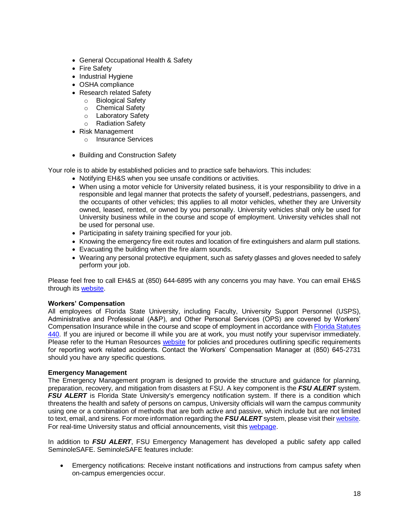- General Occupational Health & Safety
- [Fire Safety](http://www.safety.fsu.edu/fire.html)
- [Industrial Hygiene](http://www.safety.fsu.edu/ih.html)
- OSHA compliance
- [Research related Safety](http://www.safety.fsu.edu/research.html)
	- o [Biological Safety](http://www.safety.fsu.edu/bio.html)
	- o [Chemical Safety](http://www.safety.fsu.edu/chem.html)
	- [Laboratory Safety](http://www.safety.fsu.edu/lab.html)<br>○ Radiation Safety
	- **[Radiation Safety](http://www.safety.fsu.edu/rad.html)**
- Risk Management
	- o Insurance Services
- Building and Construction Safety

Your role is to abide by established policies and to practice safe behaviors. This includes:

- Notifying EH&S when you see unsafe conditions or activities.
- When using a motor vehicle for University related business, it is your responsibility to drive in a responsible and legal manner that protects the safety of yourself, pedestrians, passengers, and the occupants of other vehicles; this applies to all motor vehicles, whether they are University owned, leased, rented, or owned by you personally. University vehicles shall only be used for University business while in the course and scope of employment. University vehicles shall not be used for personal use.
- Participating in safety training specified for your job.
- Knowing the emergency fire exit routes and location of fire extinguishers and alarm pull stations.
- Evacuating the building when the fire alarm sounds.
- Wearing any personal protective equipment, such as safety glasses and gloves needed to safely perform your job.

Please feel free to call EH&S at (850) 644-6895 with any concerns you may have. You can email EH&S through it[s website.](http://www.safety.fsu.edu/)

### **Workers' Compensation**

All employees of Florida State University, including Faculty, University Support Personnel (USPS), Administrative and Professional (A&P), and Other Personal Services (OPS) are covered by Workers' Compensation Insurance while in the course and scope of employment in accordance wit[h Florida Statutes](http://www.leg.state.fl.us/statutes/index.cfm?App_mode=Display_Statute&URL=0400-0499/0440/0440ContentsIndex.html)  [440.](http://www.leg.state.fl.us/statutes/index.cfm?App_mode=Display_Statute&URL=0400-0499/0440/0440ContentsIndex.html) If you are injured or become ill while you are at work, you must notify your supervisor immediately. Please refer to the Human Resources [website](http://www.hr.fsu.edu/) for policies and procedures outlining specific requirements for reporting work related accidents. Contact the Workers' Compensation Manager at (850) 645-2731 should you have any specific questions.

### **Emergency Management**

The Emergency Management program is designed to provide the structure and guidance for planning, preparation, recovery, and mitigation from disasters at FSU. A key component is the *FSU ALERT* system. **FSU ALERT** is Florida State University's emergency notification system. If there is a condition which threatens the health and safety of persons on campus, University officials will warn the campus community using one or a combination of methods that are both active and passive, which include but are not limited to text, email, and sirens. For more information regarding the *FSU ALERT* system, please visit their [website.](https://emergency.fsu.edu/services/FSUAlert) For real-time University status and official announcements, visit this [webpage.](http://alerts.fsu.edu/)

In addition to *FSU ALERT*, FSU Emergency Management has developed a public safety app called SeminoleSAFE. SeminoleSAFE features include:

 Emergency notifications: Receive instant notifications and instructions from campus safety when on-campus emergencies occur.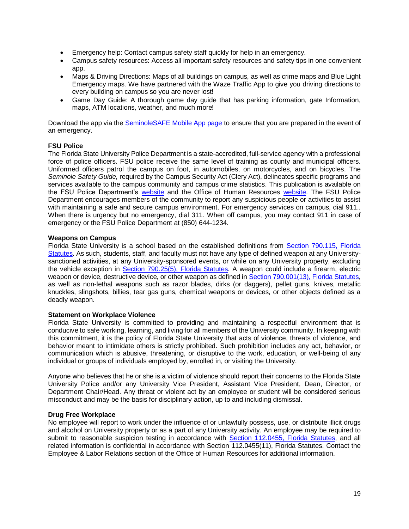- Emergency help: Contact campus safety staff quickly for help in an emergency.
- Campus safety resources: Access all important safety resources and safety tips in one convenient app.
- Maps & Driving Directions: Maps of all buildings on campus, as well as crime maps and Blue Light Emergency maps. We have partnered with the Waze Traffic App to give you driving directions to every building on campus so you are never lost!
- Game Day Guide: A thorough game day guide that has parking information, gate Information, maps, ATM locations, weather, and much more!

Download the app via the SeminoleSAFE [Mobile App page](https://emergency.fsu.edu/services/seminolesafe-mobile-app) to ensure that you are prepared in the event of an emergency.

## **FSU Police**

The Florida State University Police Department is a state-accredited, full-service agency with a professional force of police officers. FSU police receive the same level of training as county and municipal officers. Uniformed officers patrol the campus on foot, in automobiles, on motorcycles, and on bicycles. The *Seminole Safety Guide,* required by the Campus Security Act (Clery Act), delineates specific programs and services available to the campus community and campus crime statistics. This publication is available on the FSU Police Department's [website](http://www.police.fsu.edu/) and the Office of Human Resources [website.](http://www.hr.fsu.edu/) The FSU Police Department encourages members of the community to report any suspicious people or activities to assist with maintaining a safe and secure campus environment. For emergency services on campus, dial 911.. When there is urgency but no emergency, dial 311. When off campus, you may contact 911 in case of emergency or the FSU Police Department at (850) 644-1234.

## **Weapons on Campus**

Florida State University is a school based on the established definitions from [Section 790.115, Florida](http://www.leg.state.fl.us/Statutes/index.cfm?App_mode=Display_Statute&URL=0700-0799/0790/Sections/0790.115.html)  [Statutes.](http://www.leg.state.fl.us/Statutes/index.cfm?App_mode=Display_Statute&URL=0700-0799/0790/Sections/0790.115.html) As such, students, staff, and faculty must not have any type of defined weapon at any Universitysanctioned activities, at any University-sponsored events, or while on any University property, excluding the vehicle exception in [Section 790.25\(5\), Florida Statutes.](http://www.leg.state.fl.us/statutes/index.cfm?App_mode=Display_Statute&URL=0700-0799/0790/Sections/0790.25.html) A weapon could include a firearm, electric weapon or device, destructive device, or other weapon as defined in Section 790,001(13). Florida Statutes, as well as non-lethal weapons such as razor blades, dirks (or daggers), pellet guns, knives, metallic knuckles, slingshots, billies, tear gas guns, chemical weapons or devices, or other objects defined as a deadly weapon.

### **Statement on Workplace Violence**

Florida State University is committed to providing and maintaining a respectful environment that is conducive to safe working, learning, and living for all members of the University community. In keeping with this commitment, it is the policy of Florida State University that acts of violence, threats of violence, and behavior meant to intimidate others is strictly prohibited. Such prohibition includes any act, behavior, or communication which is abusive, threatening, or disruptive to the work, education, or well-being of any individual or groups of individuals employed by, enrolled in, or visiting the University.

Anyone who believes that he or she is a victim of violence should report their concerns to the Florida State University Police and/or any University Vice President, Assistant Vice President, Dean, Director, or Department Chair/Head. Any threat or violent act by an employee or student will be considered serious misconduct and may be the basis for disciplinary action, up to and including dismissal.

### **Drug Free Workplace**

No employee will report to work under the influence of or unlawfully possess, use, or distribute illicit drugs and alcohol on University property or as a part of any University activity. An employee may be required to submit to reasonable suspicion testing in accordance with [Section 112.0455, Florida Statutes,](https://www.flsenate.gov/Laws/Statutes/2012/112.0455) and all related information is confidential in accordance with Section 112.0455(11), Florida Statutes. Contact the Employee & Labor Relations section of the Office of Human Resources for additional information.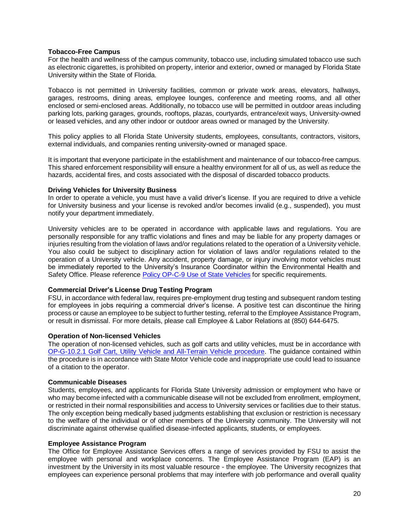### **Tobacco-Free Campus**

For the health and wellness of the campus community, tobacco use, including simulated tobacco use such as electronic cigarettes, is prohibited on property, interior and exterior, owned or managed by Florida State University within the State of Florida.

Tobacco is not permitted in University facilities, common or private work areas, elevators, hallways, garages, restrooms, dining areas, employee lounges, conference and meeting rooms, and all other enclosed or semi-enclosed areas. Additionally, no tobacco use will be permitted in outdoor areas including parking lots, parking garages, grounds, rooftops, plazas, courtyards, entrance/exit ways, University-owned or leased vehicles, and any other indoor or outdoor areas owned or managed by the University.

This policy applies to all Florida State University students, employees, consultants, contractors, visitors, external individuals, and companies renting university-owned or managed space.

It is important that everyone participate in the establishment and maintenance of our tobacco-free campus. This shared enforcement responsibility will ensure a healthy environment for all of us, as well as reduce the hazards, accidental fires, and costs associated with the disposal of discarded tobacco products.

#### **Driving Vehicles for University Business**

In order to operate a vehicle, you must have a valid driver's license. If you are required to drive a vehicle for University business and your license is revoked and/or becomes invalid (e.g., suspended), you must notify your department immediately.

University vehicles are to be operated in accordance with applicable laws and regulations. You are personally responsible for any traffic violations and fines and may be liable for any property damages or injuries resulting from the violation of laws and/or regulations related to the operation of a University vehicle. You also could be subject to disciplinary action for violation of laws and/or regulations related to the operation of a University vehicle. Any accident, property damage, or injury involving motor vehicles must be immediately reported to the University's Insurance Coordinator within the Environmental Health and Safety Office. Please reference [Policy OP-C-9 Use of State Vehicles](http://policies.vpfa.fsu.edu/policies-and-procedures/faculty-staff/use-state-vehicle) for specific requirements.

### **Commercial Driver's License Drug Testing Program**

FSU, in accordance with federal law, requires pre-employment drug testing and subsequent random testing for employees in jobs requiring a commercial driver's license. A positive test can discontinue the hiring process or cause an employee to be subject to further testing, referral to the Employee Assistance Program, or result in dismissal. For more details, please call Employee & Labor Relations at (850) 644-6475.

### **Operation of Non-licensed Vehicles**

The operation of non-licensed vehicles, such as golf carts and utility vehicles, must be in accordance with [OP-G-10.2.1 Golf Cart, Utility Vehicle and All-Terrain Vehicle procedure.](https://www.safety.fsu.edu/safety_manual/Golf%20Cart,%20Utility%20Vehicle,%20and%20All-Terrain%20Vehicle.pdf) The guidance contained within the procedure is in accordance with State Motor Vehicle code and inappropriate use could lead to issuance of a citation to the operator.

### **Communicable Diseases**

Students, employees, and applicants for Florida State University admission or employment who have or who may become infected with a communicable disease will not be excluded from enrollment, employment, or restricted in their normal responsibilities and access to University services or facilities due to their status. The only exception being medically based judgments establishing that exclusion or restriction is necessary to the welfare of the individual or of other members of the University community. The University will not discriminate against otherwise qualified disease-infected applicants, students, or employees.

#### **Employee Assistance Program**

The Office for Employee Assistance Services offers a range of services provided by FSU to assist the employee with personal and workplace concerns. The Employee Assistance Program (EAP) is an investment by the University in its most valuable resource - the employee. The University recognizes that employees can experience personal problems that may interfere with job performance and overall quality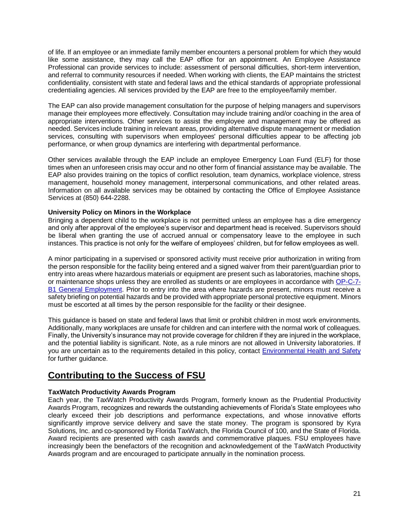of life. If an employee or an immediate family member encounters a personal problem for which they would like some assistance, they may call the EAP office for an appointment. An Employee Assistance Professional can provide services to include: assessment of personal difficulties, short-term intervention, and referral to community resources if needed. When working with clients, the EAP maintains the strictest confidentiality, consistent with state and federal laws and the ethical standards of appropriate professional credentialing agencies. All services provided by the EAP are free to the employee/family member.

The EAP can also provide management consultation for the purpose of helping managers and supervisors manage their employees more effectively. Consultation may include training and/or coaching in the area of appropriate interventions. Other services to assist the employee and management may be offered as needed. Services include training in relevant areas, providing alternative dispute management or mediation services, consulting with supervisors when employees' personal difficulties appear to be affecting job performance, or when group dynamics are interfering with departmental performance.

Other services available through the EAP include an employee Emergency Loan Fund (ELF) for those times when an unforeseen crisis may occur and no other form of financial assistance may be available. The EAP also provides training on the topics of conflict resolution, team dynamics, workplace violence, stress management, household money management, interpersonal communications, and other related areas. Information on all available services may be obtained by contacting the Office of Employee Assistance Services at (850) 644-2288.

## **University Policy on Minors in the Workplace**

Bringing a dependent child to the workplace is not permitted unless an employee has a dire emergency and only after approval of the employee's supervisor and department head is received. Supervisors should be liberal when granting the use of accrued annual or compensatory leave to the employee in such instances. This practice is not only for the welfare of employees' children, but for fellow employees as well.

A minor participating in a supervised or sponsored activity must receive prior authorization in writing from the person responsible for the facility being entered and a signed waiver from their parent/guardian prior to entry into areas where hazardous materials or equipment are present such as laboratories, machine shops, or maintenance shops unless they are enrolled as students or are employees in accordance with [OP-C-7-](https://policies.vpfa.fsu.edu/policies-and-procedures/faculty-staff/employment-and-recruitment) [B1 General Employment.](https://policies.vpfa.fsu.edu/policies-and-procedures/faculty-staff/employment-and-recruitment) Prior to entry into the area where hazards are present, minors must receive a safety briefing on potential hazards and be provided with appropriate personal protective equipment. Minors must be escorted at all times by the person responsible for the facility or their designee.

This guidance is based on state and federal laws that limit or prohibit children in most work environments. Additionally, many workplaces are unsafe for children and can interfere with the normal work of colleagues. Finally, the University's insurance may not provide coverage for children if they are injured in the workplace, and the potential liability is significant. Note, as a rule minors are not allowed in University laboratories. If you are uncertain as to the requirements detailed in this policy, contact [Environmental Health and Safety](https://www.safety.fsu.edu/sections/deptinfo.php) for further guidance.

## **Contributing to the Success of FSU**

## **TaxWatch Productivity Awards Program**

Each year, the TaxWatch Productivity Awards Program, formerly known as the Prudential Productivity Awards Program, recognizes and rewards the outstanding achievements of Florida's State employees who clearly exceed their job descriptions and performance expectations, and whose innovative efforts significantly improve service delivery and save the state money. The program is sponsored by Kyra Solutions, Inc. and co-sponsored by Florida TaxWatch, the Florida Council of 100, and the State of Florida. Award recipients are presented with cash awards and commemorative plaques. FSU employees have increasingly been the benefactors of the recognition and acknowledgement of the TaxWatch Productivity Awards program and are encouraged to participate annually in the nomination process.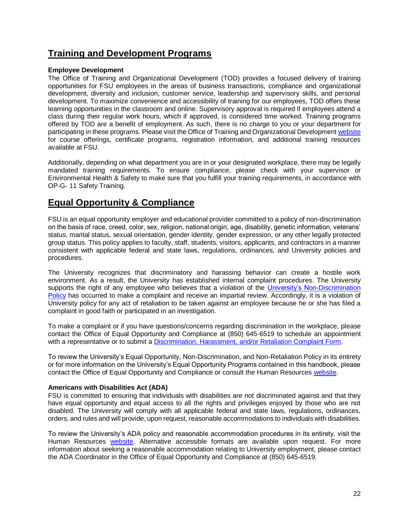## **Training and Development Programs**

## **Employee Development**

The Office of Training and Organizational Development (TOD) provides a focused delivery of training opportunities for FSU employees in the areas of business transactions, compliance and organizational development, diversity and inclusion, customer service, leadership and supervisory skills, and personal development. To maximize convenience and accessibility of training for our employees, TOD offers these learning opportunities in the classroom and online. Supervisory approval is required if employees attend a class during their regular work hours, which if approved, is considered time worked. Training programs offered by TOD are a benefit of employment. As such, there is no charge to you or your department for participating in these programs. Please visit the Office of Training and Organizational Development [website](https://hr.fsu.edu/?page=training/training_home) for course offerings, certificate programs, registration information, and additional training resources available at FSU.

Additionally, depending on what department you are in or your designated workplace, there may be legally mandated training requirements. To ensure compliance, please check with your supervisor or Environmental Health & Safety to make sure that you fulfill your training requirements, in accordance with OP-G- 11 Safety Training.

## **Equal Opportunity & Compliance**

FSU is an equal opportunity employer and educational provider committed to a policy of non-discrimination on the basis of race, creed, color, sex, religion, national origin, age, disability, genetic information, veterans' status, marital status, sexual orientation, gender identity, gender expression, or any other legally protected group status. This policy applies to faculty, staff, students, visitors, applicants, and contractors in a manner consistent with applicable federal and state laws, regulations, ordinances, and University policies and procedures.

The University recognizes that discriminatory and harassing behavior can create a hostile work environment. As a result, the University has established internal complaint procedures. The University supports the right of any employee who believes that a violation of the University's Non-Discrimination [Policy](http://policies.vpfa.fsu.edu/policies-and-procedures/faculty-staff/equal-opportunity-and-compliance-eoc#I3) has occurred to make a complaint and receive an impartial review. Accordingly, it is a violation of University policy for any act of retaliation to be taken against an employee because he or she has filed a complaint in good faith or participated in an investigation.

To make a complaint or if you have questions/concerns regarding discrimination in the workplace, please contact the Office of Equal Opportunity and Compliance at (850) 645-6519 to schedule an appointment with a representative or to submit a Discrimination, Harassment, [and/or Retaliation Complaint Form.](http://hr.fsu.edu/_content/eoc/pdf/DiscriminationComplaintForm_fill.pdf)

To review the University's Equal Opportunity, Non-Discrimination, and Non-Retaliation Policy in its entirety or for more information on the University's Equal Opportunity Programs contained in this handbook, please contact the Office of Equal Opportunity and Compliance or consult the Human Resources [website.](http://www.compliance.hr.fsu.edu/)

## **Americans with Disabilities Act (ADA)**

FSU is committed to ensuring that individuals with disabilities are not discriminated against and that they have equal opportunity and equal access to all the rights and privileges enjoyed by those who are not disabled. The University will comply with all applicable federal and state laws, regulations, ordinances, orders, and rules and will provide, upon request, reasonable accommodations to individuals with disabilities.

To review the University's ADA policy and reasonable accommodation procedures in its entirety, visit the Human Resources [website.](http://policies.vpfa.fsu.edu/policies-and-procedures/faculty-staff/equal-opportunity-and-compliance-eoc#I1) Alternative accessible formats are available upon request. For more information about seeking a reasonable accommodation relating to University employment, please contact the ADA Coordinator in the Office of Equal Opportunity and Compliance at (850) 645-6519.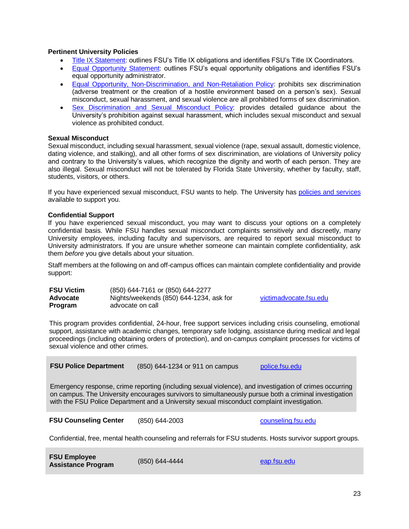## **Pertinent University Policies**

- [Title IX Statement:](http://knowmore.fsu.edu/wp-content/uploads/2016/09/Title-IX-Statement.pdf) outlines FSU's Title IX obligations and identifies FSU's Title IX Coordinators.
- [Equal Opportunity Statement:](http://www.hr.fsu.edu/PDF/Publications/diversity/EEO_Statement.pdf) outlines FSU's equal opportunity obligations and identifies FSU's equal opportunity administrator.
- [Equal Opportunity, Non-Discrimination, and Non-Retaliation Policy:](http://policies.vpfa.fsu.edu/policies-and-procedures/faculty-staff/equal-opportunity-and-compliance-eoc#I3) prohibits sex discrimination (adverse treatment or the creation of a hostile environment based on a person's sex). Sexual misconduct, sexual harassment, and sexual violence are all prohibited forms of sex discrimination.
- [Sex Discrimination and Sexual Misconduct Policy:](http://policies.fsu.edu/sites/g/files/upcbnu486/files/policies/president/FSU%20Policy%202-2.pdf) provides detailed guidance about the University's prohibition against sexual harassment, which includes sexual misconduct and sexual violence as prohibited conduct.

## **Sexual Misconduct**

Sexual misconduct, including sexual harassment, sexual violence (rape, sexual assault, domestic violence, dating violence, and stalking), and all other forms of sex discrimination, are violations of University policy and contrary to the University's values, which recognize the dignity and worth of each person. They are also illegal. Sexual misconduct will not be tolerated by Florida State University, whether by faculty, staff, students, visitors, or others.

If you have experienced sexual misconduct, FSU wants to help. The University has [policies and services](http://knowmore.fsu.edu/) available to support you.

### **Confidential Support**

If you have experienced sexual misconduct, you may want to discuss your options on a completely confidential basis. While FSU handles sexual misconduct complaints sensitively and discreetly, many University employees, including faculty and supervisors, are required to report sexual misconduct to University administrators. If you are unsure whether someone can maintain complete confidentiality, ask them *before* you give details about your situation.

Staff members at the following on and off-campus offices can maintain complete confidentiality and provide support:

| <b>FSU Victim</b> | (850) 644-7161 or (850) 644-2277        |
|-------------------|-----------------------------------------|
| Advocate          | Nights/weekends (850) 644-1234, ask for |
| <b>Program</b>    | advocate on call                        |

[victimadvocate.fsu.edu](http://victimadvocate.fsu.edu/)

This program provides confidential, 24-hour, free support services including crisis counseling, emotional support, assistance with academic changes, temporary safe lodging, assistance during medical and legal proceedings (including obtaining orders of protection), and on-campus complaint processes for victims of sexual violence and other crimes.

**FSU Police Department** (850) 644-1234 or 911 on campus [police.fsu.edu](http://www.police.fsu.edu/)

Emergency response, crime reporting (including sexual violence), and investigation of crimes occurring on campus. The University encourages survivors to simultaneously pursue both a criminal investigation with the FSU Police Department and a University sexual misconduct complaint investigation.

**FSU Counseling Center** (850) 644-2003 [counseling.fsu.edu](http://counseling.fsu.edu/)

Confidential, free, mental health counseling and referrals for FSU students. Hosts survivor support groups.

| <b>FSU Employee</b>       |                | eap.fsu.edu |
|---------------------------|----------------|-------------|
| <b>Assistance Program</b> | (850) 644-4444 |             |

23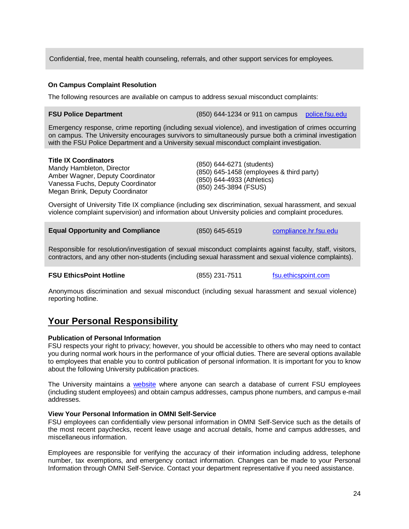Confidential, free, mental health counseling, referrals, and other support services for employees.

## **On Campus Complaint Resolution**

The following resources are available on campus to address sexual misconduct complaints:

### **FSU Police Department** (850) 644-1234 or 911 on campus [police.fsu.edu](http://www.police.fsu.edu/)

Emergency response, crime reporting (including sexual violence), and investigation of crimes occurring on campus. The University encourages survivors to simultaneously pursue both a criminal investigation with the FSU Police Department and a University sexual misconduct complaint investigation.

### **Title IX Coordinators**

Mandy Hambleton, Director Amber Wagner, Deputy Coordinator Vanessa Fuchs, Deputy Coordinator Megan Brink, Deputy Coordinator

(850) 644-6271 (students) (850) 645-1458 (employees & third party) (850) 644-4933 (Athletics) (850) 245-3894 (FSUS)

Oversight of University Title IX compliance (including sex discrimination, sexual harassment, and sexual violence complaint supervision) and information about University policies and complaint procedures.

**Equal Opportunity and Compliance** (850) 645-6519 [compliance.hr.fsu.edu](http://compliance.hr.fsu.edu/)

Responsible for resolution/investigation of sexual misconduct complaints against faculty, staff, visitors, contractors, and any other non-students (including sexual harassment and sexual violence complaints).

### **FSU EthicsPoint Hotline** (855) 231-7511 [fsu.ethicspoint.com](https://secure.ethicspoint.com/domain/media/en/gui/32441/index.html)

Anonymous discrimination and sexual misconduct (including sexual harassment and sexual violence) reporting hotline.

## **Your Personal Responsibility**

### **Publication of Personal Information**

FSU respects your right to privacy; however, you should be accessible to others who may need to contact you during normal work hours in the performance of your official duties. There are several options available to employees that enable you to control publication of personal information. It is important for you to know about the following University publication practices.

The University maintains a [website](http://www.fsu.edu/directories/) where anyone can search a database of current FSU employees (including student employees) and obtain campus addresses, campus phone numbers, and campus e-mail addresses.

### **View Your Personal Information in OMNI Self-Service**

FSU employees can confidentially view personal information in OMNI Self-Service such as the details of the most recent paychecks, recent leave usage and accrual details, home and campus addresses, and miscellaneous information.

Employees are responsible for verifying the accuracy of their information including address, telephone number, tax exemptions, and emergency contact information. Changes can be made to your Personal Information through OMNI Self-Service. Contact your department representative if you need assistance.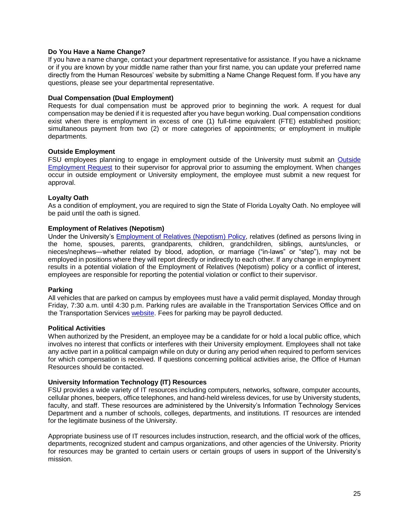## **Do You Have a Name Change?**

If you have a name change, contact your department representative for assistance. If you have a nickname or if you are known by your middle name rather than your first name, you can update your preferred name directly from the Human Resources' website by submitting a Name Change Request form. If you have any questions, please see your departmental representative.

### **Dual Compensation (Dual Employment)**

Requests for dual compensation must be approved prior to beginning the work. A request for dual compensation may be denied if it is requested after you have begun working. Dual compensation conditions exist when there is employment in excess of one (1) full-time equivalent (FTE) established position; simultaneous payment from two (2) or more categories of appointments; or employment in multiple departments.

### **Outside Employment**

FSU employees planning to engage in employment outside of the University must submit an [Outside](https://www.hr.fsu.edu/PDF/Forms/OutsideEmployment_fill.pdf)  [Employment Request](https://www.hr.fsu.edu/PDF/Forms/OutsideEmployment_fill.pdf) to their supervisor for approval prior to assuming the employment. When changes occur in outside employment or University employment, the employee must submit a new request for approval.

## **Loyalty Oath**

As a condition of employment, you are required to sign the State of Florida Loyalty Oath. No employee will be paid until the oath is signed.

## **Employment of Relatives (Nepotism)**

Under the University's [Employment of Relatives \(Nepotism\) Policy,](https://hr.fsu.edu/?page=ers/employment_of_relatives) relatives (defined as persons living in the home, spouses, parents, grandparents, children, grandchildren, siblings, aunts/uncles, or nieces/nephews―whether related by blood, adoption, or marriage ("in-laws" or "step"), may not be employed in positions where they will report directly or indirectly to each other. If any change in employment results in a potential violation of the Employment of Relatives (Nepotism) policy or a conflict of interest, employees are responsible for reporting the potential violation or conflict to their supervisor.

### **Parking**

All vehicles that are parked on campus by employees must have a valid permit displayed, Monday through Friday, 7:30 a.m. until 4:30 p.m. Parking rules are available in the Transportation Services Office and on the Transportation Services [website.](http://www.transportation.fsu.edu/) Fees for parking may be payroll deducted.

### **Political Activities**

When authorized by the President, an employee may be a candidate for or hold a local public office, which involves no interest that conflicts or interferes with their University employment. Employees shall not take any active part in a political campaign while on duty or during any period when required to perform services for which compensation is received. If questions concerning political activities arise, the Office of Human Resources should be contacted.

### **University Information Technology (IT) Resources**

FSU provides a wide variety of IT resources including computers, networks, software, computer accounts, cellular phones, beepers, office telephones, and hand-held wireless devices, for use by University students, faculty, and staff. These resources are administered by the University's Information Technology Services Department and a number of schools, colleges, departments, and institutions. IT resources are intended for the legitimate business of the University.

Appropriate business use of IT resources includes instruction, research, and the official work of the offices, departments, recognized student and campus organizations, and other agencies of the University. Priority for resources may be granted to certain users or certain groups of users in support of the University's mission.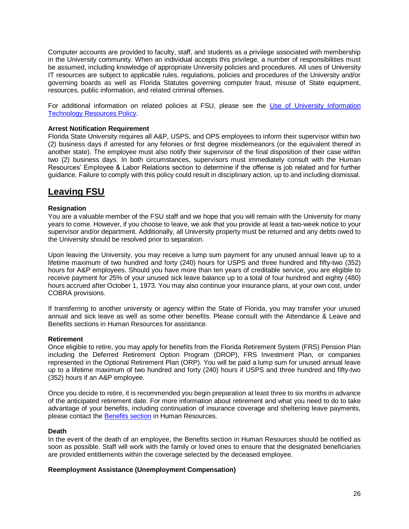Computer accounts are provided to faculty, staff, and students as a privilege associated with membership in the University community. When an individual accepts this privilege, a number of responsibilities must be assumed, including knowledge of appropriate University policies and procedures. All uses of University IT resources are subject to applicable rules, regulations, policies and procedures of the University and/or governing boards as well as Florida Statutes governing computer fraud, misuse of State equipment, resources, public information, and related criminal offenses.

For additional information on related policies at FSU, please see the [Use of University Information](http://www.vpfa.fsu.edu/policies/bmanual/itpolicy.html)  [Technology Resources Policy.](http://www.vpfa.fsu.edu/policies/bmanual/itpolicy.html)

### **Arrest Notification Requirement**

Florida State University requires all A&P, USPS, and OPS employees to inform their supervisor within two (2) business days if arrested for any felonies or first degree misdemeanors (or the equivalent thereof in another state). The employee must also notify their supervisor of the final disposition of their case within two (2) business days. In both circumstances, supervisors must immediately consult with the Human Resources' Employee & Labor Relations section to determine if the offense is job related and for further guidance. Failure to comply with this policy could result in disciplinary action, up to and including dismissal.

## **Leaving FSU**

## **Resignation**

You are a valuable member of the FSU staff and we hope that you will remain with the University for many years to come. However, if you choose to leave, we ask that you provide at least a two-week notice to your supervisor and/or department. Additionally, all University property must be returned and any debts owed to the University should be resolved prior to separation.

Upon leaving the University, you may receive a lump sum payment for any unused annual leave up to a lifetime maximum of two hundred and forty (240) hours for USPS and three hundred and fifty-two (352) hours for A&P employees. Should you have more than ten years of creditable service, you are eligible to receive payment for 25% of your unused sick leave balance up to a total of four hundred and eighty (480) hours accrued after October 1, 1973. You may also continue your insurance plans, at your own cost, under COBRA provisions.

If transferring to another university or agency within the State of Florida, you may transfer your unused annual and sick leave as well as some other benefits. Please consult with the Attendance & Leave and Benefits sections in Human Resources for assistance.

### **Retirement**

Once eligible to retire, you may apply for benefits from the Florida Retirement System (FRS) Pension Plan including the Deferred Retirement Option Program (DROP), FRS Investment Plan, or companies represented in the Optional Retirement Plan (ORP). You will be paid a lump sum for unused annual leave up to a lifetime maximum of two hundred and forty (240) hours if USPS and three hundred and fifty-two (352) hours if an A&P employee.

Once you decide to retire, it is recommended you begin preparation at least three to six months in advance of the anticipated retirement date. For more information about retirement and what you need to do to take advantage of your benefits, including continuation of insurance coverage and sheltering leave payments, please contact the [Benefits section](https://www.hr.fsu.edu/?page=benefits/benefits_home) in Human Resources.

### **Death**

In the event of the death of an employee, the Benefits section in Human Resources should be notified as soon as possible. Staff will work with the family or loved ones to ensure that the designated beneficiaries are provided entitlements within the coverage selected by the deceased employee.

### **Reemployment Assistance (Unemployment Compensation)**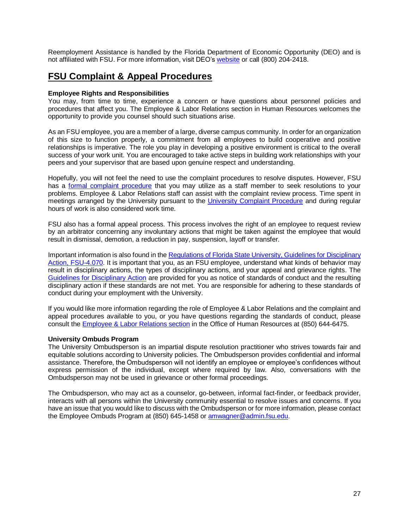Reemployment Assistance is handled by the Florida Department of Economic Opportunity (DEO) and is not affiliated with FSU. For more information, visit DEO's [website](http://www.floridajobs.org/) or call (800) 204-2418.

## **FSU Complaint & Appeal Procedures**

## **Employee Rights and Responsibilities**

You may, from time to time, experience a concern or have questions about personnel policies and procedures that affect you. The Employee & Labor Relations section in Human Resources welcomes the opportunity to provide you counsel should such situations arise.

As an FSU employee, you are a member of a large, diverse campus community. In order for an organization of this size to function properly, a commitment from all employees to build cooperative and positive relationships is imperative. The role you play in developing a positive environment is critical to the overall success of your work unit. You are encouraged to take active steps in building work relationships with your peers and your supervisor that are based upon genuine respect and understanding.

Hopefully, you will not feel the need to use the complaint procedures to resolve disputes. However, FSU has a [formal complaint procedure](https://hr.fsu.edu/?page=elr/discipline/discipline_complaint_resolution) that you may utilize as a staff member to seek resolutions to your problems. Employee & Labor Relations staff can assist with the complaint review process. Time spent in meetings arranged by the University pursuant to the [University Complaint Procedure](https://hr.fsu.edu/?page=elr/discipline/discipline_complaint_resolution) and during regular hours of work is also considered work time.

FSU also has a formal appeal process. This process involves the right of an employee to request review by an arbitrator concerning any involuntary actions that might be taken against the employee that would result in dismissal, demotion, a reduction in pay, suspension, layoff or transfer.

Important information is also found in the [Regulations of Florida State University, Guidelines for Disciplinary](https://hr.fsu.edu/?page=elr/discipline/discipline_guidelines)  [Action, FSU-4.070.](https://hr.fsu.edu/?page=elr/discipline/discipline_guidelines) It is important that you, as an FSU employee, understand what kinds of behavior may result in disciplinary actions, the types of disciplinary actions, and your appeal and grievance rights. The [Guidelines for Disciplinary Action](https://hr.fsu.edu/?page=elr/discipline/discipline_guidelines) are provided for you as notice of standards of conduct and the resulting disciplinary action if these standards are not met. You are responsible for adhering to these standards of conduct during your employment with the University.

If you would like more information regarding the role of Employee & Labor Relations and the complaint and appeal procedures available to you, or you have questions regarding the standards of conduct, please consult the [Employee & Labor Relations section](https://www.hr.fsu.edu/?page=elr/elr_home) in the Office of Human Resources at (850) 644-6475.

### **University Ombuds Program**

The University Ombudsperson is an impartial dispute resolution practitioner who strives towards fair and equitable solutions according to University policies. The Ombudsperson provides confidential and informal assistance. Therefore, the Ombudsperson will not identify an employee or employee's confidences without express permission of the individual, except where required by law. Also, conversations with the Ombudsperson may not be used in grievance or other formal proceedings.

The Ombudsperson, who may act as a counselor, go-between, informal fact-finder, or feedback provider, interacts with all persons within the University community essential to resolve issues and concerns. If you have an issue that you would like to discuss with the Ombudsperson or for more information, please contact the Employee Ombuds Program at (850) 645-1458 o[r amwagner@admin.fsu.edu.](file:///C:/Users/gm15r/AppData/Local/Microsoft/Windows/INetCache/tlittle/AppData/Local/Microsoft/Windows/INetCache/Content.Outlook/AppData/Local/Microsoft/Windows/INetCache/Content.Outlook/4YCVFNYZ/amwagner@admin.fsu.edu)